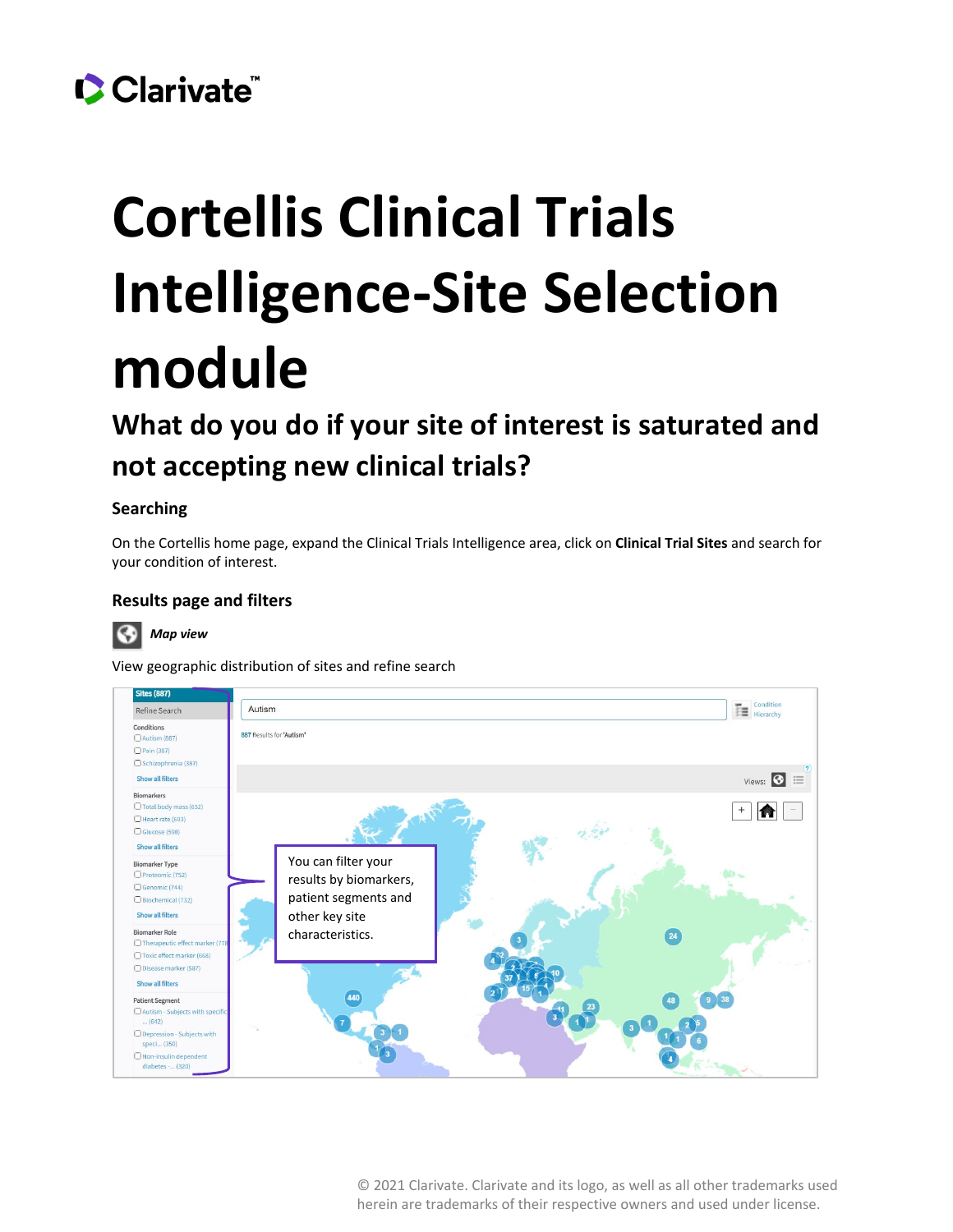## Clarivate

# **Cortellis Clinical Trials Intelligence-Site Selection module**

### **What do you do if your site of interest is saturated and not accepting new clinical trials?**

#### **Searching**

On the Cortellis home page, expand the Clinical Trials Intelligence area, click on **Clinical Trial Sites** and search for your condition of interest.

#### **Results page and filters**



View geographic distribution of sites and refine search



© 2021 Clarivate. Clarivate and its logo, as well as all other trademarks used herein are trademarks of their respective owners and used under license.